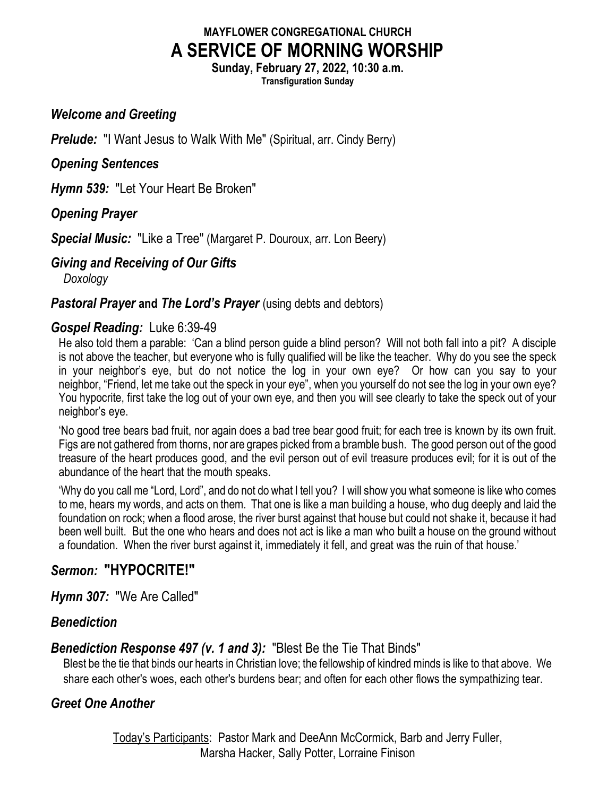# MAYFLOWER CONGREGATIONAL CHURCH A SERVICE OF MORNING WORSHIP

Sunday, February 27, 2022, 10:30 a.m.

Transfiguration Sunday

#### Welcome and Greeting

**Prelude:** "I Want Jesus to Walk With Me" (Spiritual, arr. Cindy Berry)

#### Opening Sentences

Hymn 539: "Let Your Heart Be Broken"

## Opening Prayer

Special Music: "Like a Tree" (Margaret P. Douroux, arr. Lon Beery)

## Giving and Receiving of Our Gifts

Doxology

#### Pastoral Prayer and The Lord's Prayer (using debts and debtors)

#### Gospel Reading: Luke 6:39-49

He also told them a parable: 'Can a blind person guide a blind person? Will not both fall into a pit? A disciple is not above the teacher, but everyone who is fully qualified will be like the teacher. Why do you see the speck in your neighbor's eye, but do not notice the log in your own eye? Or how can you say to your neighbor, "Friend, let me take out the speck in your eye", when you yourself do not see the log in your own eye? You hypocrite, first take the log out of your own eye, and then you will see clearly to take the speck out of your neighbor's eye.

'No good tree bears bad fruit, nor again does a bad tree bear good fruit; for each tree is known by its own fruit. Figs are not gathered from thorns, nor are grapes picked from a bramble bush. The good person out of the good treasure of the heart produces good, and the evil person out of evil treasure produces evil; for it is out of the abundance of the heart that the mouth speaks.

'Why do you call me "Lord, Lord", and do not do what I tell you? I will show you what someone is like who comes to me, hears my words, and acts on them. That one is like a man building a house, who dug deeply and laid the foundation on rock; when a flood arose, the river burst against that house but could not shake it, because it had been well built. But the one who hears and does not act is like a man who built a house on the ground without a foundation. When the river burst against it, immediately it fell, and great was the ruin of that house.'

# Sermon: "HYPOCRITE!"

Hymn 307: "We Are Called"

#### **Benediction**

## Benediction Response 497 (v. 1 and 3): "Blest Be the Tie That Binds"

Blest be the tie that binds our hearts in Christian love; the fellowship of kindred minds is like to that above. We share each other's woes, each other's burdens bear; and often for each other flows the sympathizing tear.

## Greet One Another

Today's Participants: Pastor Mark and DeeAnn McCormick, Barb and Jerry Fuller, Marsha Hacker, Sally Potter, Lorraine Finison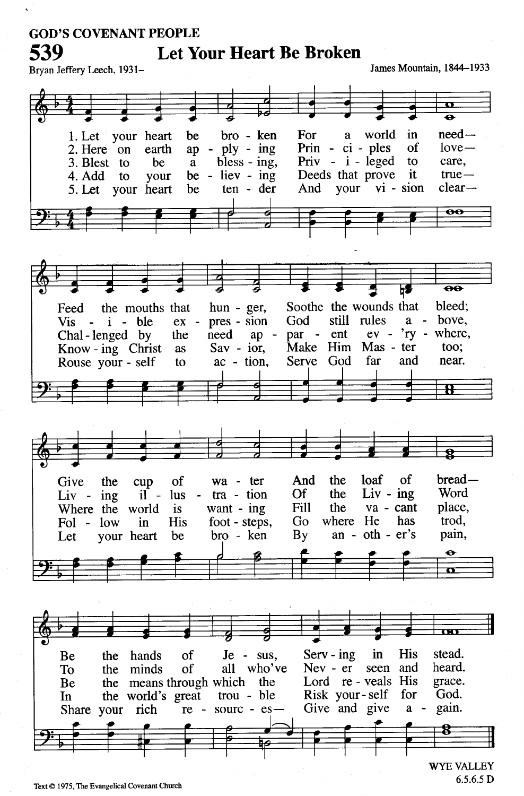#### **GOD'S COVENANT PEOPLE**

**Let Your Heart Be Broken** 

Bryan Jeffery Leech, 1931-

539

#### James Mountain, 1844-1933



Text © 1975, The Evangelical Covenant Church

**WYE VALLEY**  $6.5.6.5 D$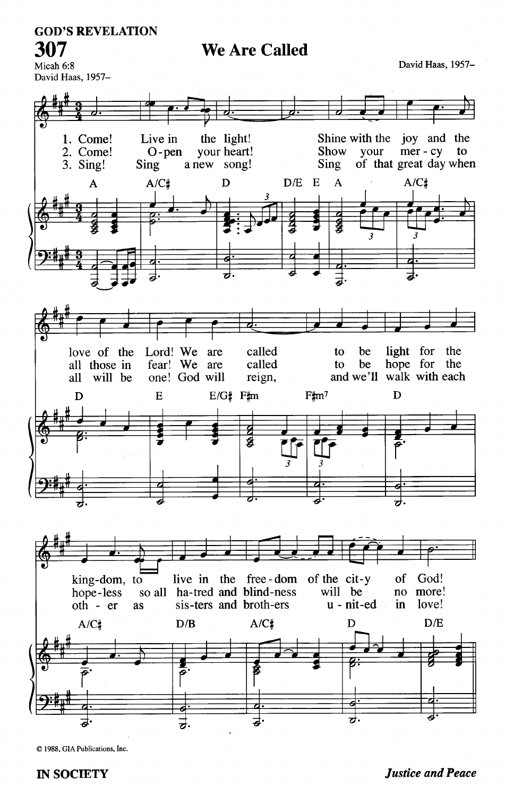# **GOD'S REVELATION**

# 3

# **We Are Called**

David Haas, 1957-

Micah 6:8 David Haas, 1957-



© 1988, GIA Publications, Inc.

**IN SOCIETY** 

#### **Justice and Peace**